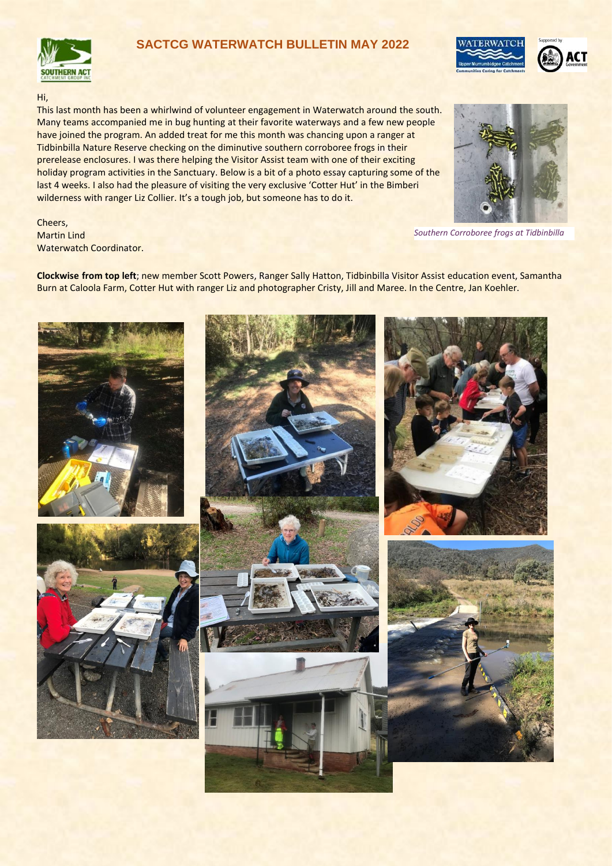## **SACTCG WATERWATCH BULLETIN MAY 2022**





This last month has been a whirlwind of volunteer engagement in Waterwatch around the south. Many teams accompanied me in bug hunting at their favorite waterways and a few new people have joined the program. An added treat for me this month was chancing upon a ranger at Tidbinbilla Nature Reserve checking on the diminutive southern corroboree frogs in their prerelease enclosures. I was there helping the Visitor Assist team with one of their exciting holiday program activities in the Sanctuary. Below is a bit of a photo essay capturing some of the last 4 weeks. I also had the pleasure of visiting the very exclusive 'Cotter Hut' in the Bimberi wilderness with ranger Liz Collier. It's a tough job, but someone has to do it.



*Southern Corroboree frogs at Tidbinbilla*

Cheers, Martin Lind Waterwatch Coordinator.

**Clockwise from top left**; new member Scott Powers, Ranger Sally Hatton, Tidbinbilla Visitor Assist education event, Samantha Burn at Caloola Farm, Cotter Hut with ranger Liz and photographer Cristy, Jill and Maree. In the Centre, Jan Koehler.

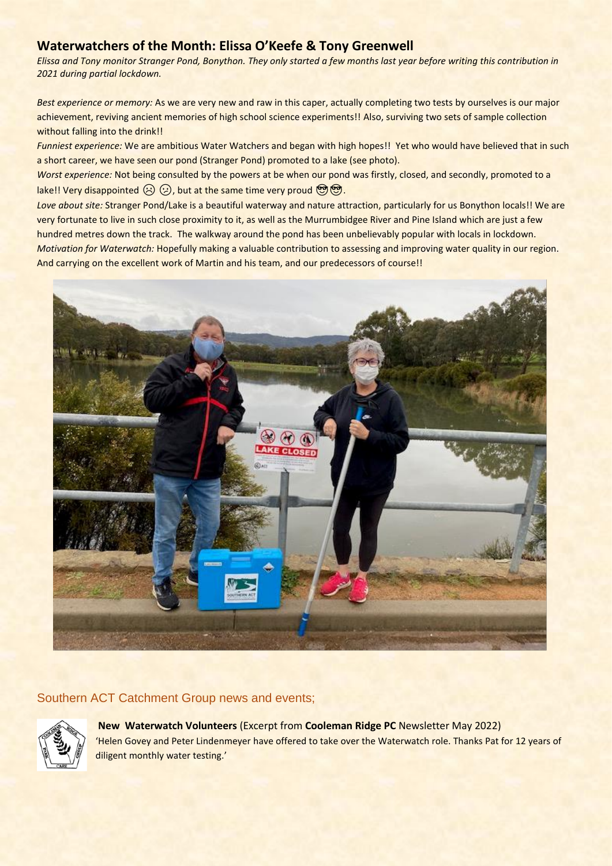# **Waterwatchers of the Month: Elissa O'Keefe & Tony Greenwell**

*Elissa and Tony monitor Stranger Pond, Bonython. They only started a few months last year before writing this contribution in 2021 during partial lockdown.*

*Best experience or memory:* As we are very new and raw in this caper, actually completing two tests by ourselves is our major achievement, reviving ancient memories of high school science experiments!! Also, surviving two sets of sample collection without falling into the drink!!

*Funniest experience:* We are ambitious Water Watchers and began with high hopes!! Yet who would have believed that in such a short career, we have seen our pond (Stranger Pond) promoted to a lake (see photo).

*Worst experience:* Not being consulted by the powers at be when our pond was firstly, closed, and secondly, promoted to a lake!! Very disappointed  $\textcircled{(2)}$  , but at the same time very proud  $\textcircled{(2)}$ 

*Love about site:* Stranger Pond/Lake is a beautiful waterway and nature attraction, particularly for us Bonython locals!! We are very fortunate to live in such close proximity to it, as well as the Murrumbidgee River and Pine Island which are just a few hundred metres down the track. The walkway around the pond has been unbelievably popular with locals in lockdown. *Motivation for Waterwatch:* Hopefully making a valuable contribution to assessing and improving water quality in our region. And carrying on the excellent work of Martin and his team, and our predecessors of course!!



# Southern ACT Catchment Group news and events;



**New Waterwatch Volunteers** (Excerpt from **Cooleman Ridge PC** Newsletter May 2022) 'Helen Govey and Peter Lindenmeyer have offered to take over the Waterwatch role. Thanks Pat for 12 years of diligent monthly water testing.'